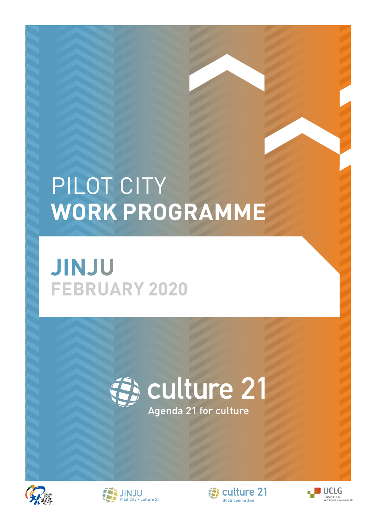### PILOT CITY **WORK PROGRAMME**

#### **JINJU FEBRUARY 2020**







**[UCLG Committee](http://www.agenda21culture.net/index.php?lang=en) EN culture 21** 

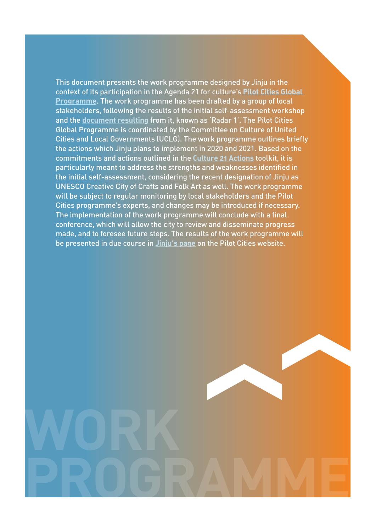This document presents the work programme designed by Jinju in the context of its participation in the Agenda 21 for culture's **[Pilot Cities Global](http://agenda21culture.net/our-cities/pilot-cities)  [Programme](http://agenda21culture.net/our-cities/pilot-cities)**. The work programme has been drafted by a group of local stakeholders, following the results of the initial self-assessment workshop and the **[document resulting](http://agenda21culture.net/sites/default/files/files/cities/content/informe_jinju-eng_0.pdf)** from it, known as 'Radar 1'. The Pilot Cities Global Programme is coordinated by the Committee on Culture of United Cities and Local Governments (UCLG). The work programme outlines briefly the actions which Jinju plans to implement in 2020 and 2021. Based on the commitments and actions outlined in the **[Culture 21 Actions](http://www.agenda21culture.net/documents/culture-21-actions)** toolkit, it is particularly meant to address the strengths and weaknesses identified in the initial self-assessment, considering the recent designation of Jinju as UNESCO Creative City of Crafts and Folk Art as well. The work programme will be subject to regular monitoring by local stakeholders and the Pilot Cities programme's experts, and changes may be introduced if necessary. The implementation of the work programme will conclude with a final conference, which will allow the city to review and disseminate progress made, and to foresee future steps. The results of the work programme will be presented in due course in **[Jinju's page](http://agenda21culture.net/our-cities/jinju)** on the Pilot Cities website.

**PROGRAMME**

**WORK**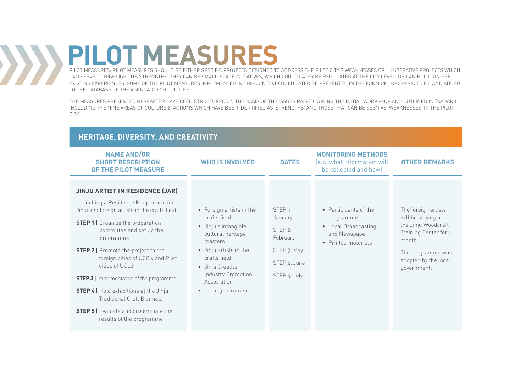#### **PILOT MEASURES**  $\sum$

PILOT MEASURES: PILOT MEASURES SHOULD BE EITHER SPECIFIC PROJECTS DESIGNED TO ADDRESS THE PILOT CITY'S WEAKNESSES OR ILLUSTRATIVE PROJECTS WHICH CAN SERVE TO HIGHLIGHT ITS STRENGTHS. THEY CAN BE SMALL-SCALE INITIATIVES, WHICH COULD LATER BE REPLICATED AT THE CITY LEVEL, OR CAN BUILD ON PRE-EXISTING EXPERIENCES. SOME OF THE PILOT MEASURES IMPLEMENTED IN THIS CONTEXT COULD LATER BE PRESENTED IN THE FORM OF 'GOOD PRACTICES' AND ADDED TO THE DATABASE OF THE AGENDA 21 FOR CULTURE.

THE MEASURES PRESENTED HEREAFTER HAVE BEEN STRUCTURED ON THE BASIS OF THE ISSUES RAISED DURING THE INITIAL WORKSHOP AND OUTLINED IN "RADAR 1", INCLUDING THE NINE AREAS OF CULTURE 21 ACTIONS WHICH HAVE BEEN IDENTIFIED AS 'STRENGTHS' AND THOSE THAT CAN BE SEEN AS 'WEAKNESSES' IN THE PILOT CITY.

#### **HERITAGE, DIVERSITY, AND CREATIVITY**

| <b>NAME AND/OR</b><br><b>SHORT DESCRIPTION</b><br>OF THE PILOT MEASURE                                                                                                                                                                                                                                                                                                                                                                                                                                                                         | <b>WHO IS INVOLVED</b>                                                                                                                                                                                                    | <b>DATES</b>                                                                                                    | <b>MONITORING METHODS</b><br>(e.g. what information will<br>be collected and how)                  | <b>OTHER REMARKS</b>                                                                                                                                            |
|------------------------------------------------------------------------------------------------------------------------------------------------------------------------------------------------------------------------------------------------------------------------------------------------------------------------------------------------------------------------------------------------------------------------------------------------------------------------------------------------------------------------------------------------|---------------------------------------------------------------------------------------------------------------------------------------------------------------------------------------------------------------------------|-----------------------------------------------------------------------------------------------------------------|----------------------------------------------------------------------------------------------------|-----------------------------------------------------------------------------------------------------------------------------------------------------------------|
| <b>JINJU ARTIST IN RESIDENCE (JAR)</b><br>Launching a Residence Programme for<br>Jinju and foreign artists in the crafts field.<br><b>STEP 1</b>   Organize the preparation<br>committee and set up the<br>programme<br><b>STEP 2</b>   Promote the project to the<br>foreign cities of UCCN and Pilot<br>cities of UCLG<br><b>STEP 3</b>   Implementation of the programme:<br><b>STEP 4</b>   Hold exhibitions at the Jinju<br><b>Traditional Craft Biennale</b><br><b>STEP 5</b>   Evaluate and disseminate the<br>results of the programme | • Foreign artists in the<br>crafts field<br>· Jinju's intangible<br>cultural heritage<br>masters<br>• Jinju artists in the<br>crafts field<br>• Jinju Creative<br>Industry Promotion<br>Association<br>• Local government | STEP <sub>I</sub> :<br>January<br>STEP <sub>2:</sub><br>February<br>STEP 3: May<br>STEP 4: June<br>STEP 5: July | • Participants of the<br>programme<br>• Local Broadcasting<br>and Newspaper<br>• Printed materials | The foreign artists<br>will be staying at<br>the Jinju Woodcraft<br>Training Center for 1<br>month.<br>The programme was<br>adopted by the local<br>government. |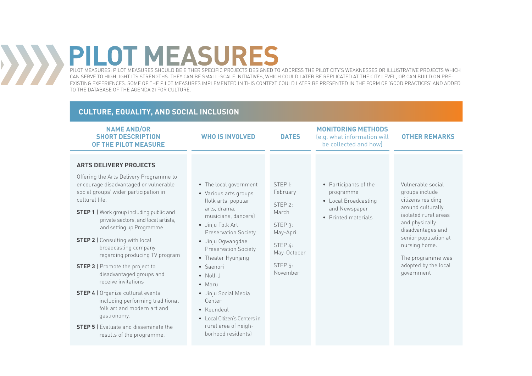# **PILOT MEASURES**

 $\left\langle \cdot ,\cdot \right\rangle$ 

PILOT MEASURES: PILOT MEASURES SHOULD BE EITHER SPECIFIC PROJECTS DESIGNED TO ADDRESS THE PILOT CITY'S WEAKNESSES OR ILLUSTRATIVE PROJECTS WHICH CAN SERVE TO HIGHLIGHT ITS STRENGTHS. THEY CAN BE SMALL-SCALE INITIATIVES, WHICH COULD LATER BE REPLICATED AT THE CITY LEVEL, OR CAN BUILD ON PRE-EXISTING EXPERIENCES. SOME OF THE PILOT MEASURES IMPLEMENTED IN THIS CONTEXT COULD LATER BE PRESENTED IN THE FORM OF 'GOOD PRACTICES' AND ADDED TO THE DATABASE OF THE AGENDA 21 FOR CULTURE.

#### **NAME AND/OR SHORT DESCRIPTION OF THE PILOT MEASURE WHO IS INVOLVED DATES MONITORING METHODS**  (e.g. what information will be collected and how) **OTHER REMARKS CULTURE, EQUALITY, AND SOCIAL INCLUSION ARTS DELIVERY PROJECTS**  Offering the Arts Delivery Programme to encourage disadvantaged or vulnerable social groups' wider participation in cultural life. **STEP 1 | Work group including public and** private sectors, and local artists, and setting up Programme **STEP 2 | Consulting with local** broadcasting company regarding producing TV program **STEP 3 |** Promote the project to disadvantaged groups and receive invitations **STEP 4 |** Organize cultural events including performing traditional folk art and modern art and gastronomy. **STEP 5 |** Evaluate and disseminate the results of the programme. • The local government • Various arts groups (folk arts, popular arts, drama, musicians, dancers) • Jinju Folk Art Preservation Society • Jinju Ogwangdae Preservation Society • Theater Hyunjang • Saenori • Noll-J • Maru • Jinju Social Media Center • Keundeul • Local Citizen's Centers in rural area of neighborhood residents) STEP I: February STEP 2: March STEP 3: May-April STEP 4: May-October STEP 5: November • Participants of the programme • Local Broadcasting and Newspaper • Printed materials Vulnerable social groups include citizens residing around culturally isolated rural areas and physically disadvantages and senior population at nursing home. The programme was adopted by the local government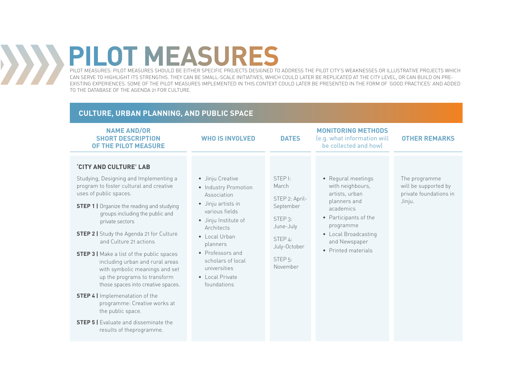# **PILOT MEASURES**

 $\left\langle \cdot \right\rangle$ 

PILOT MEASURES: PILOT MEASURES SHOULD BE EITHER SPECIFIC PROJECTS DESIGNED TO ADDRESS THE PILOT CITY'S WEAKNESSES OR ILLUSTRATIVE PROJECTS WHICH CAN SERVE TO HIGHLIGHT ITS STRENGTHS. THEY CAN BE SMALL-SCALE INITIATIVES, WHICH COULD LATER BE REPLICATED AT THE CITY LEVEL, OR CAN BUILD ON PRE-EXISTING EXPERIENCES. SOME OF THE PILOT MEASURES IMPLEMENTED IN THIS CONTEXT COULD LATER BE PRESENTED IN THE FORM OF 'GOOD PRACTICES' AND ADDED TO THE DATABASE OF THE AGENDA 21 FOR CULTURE.

#### **CULTURE, URBAN PLANNING, AND PUBLIC SPACE**

| <b>NAME AND/OR</b><br><b>SHORT DESCRIPTION</b><br>OF THE PILOT MEASURE                                                                                                                                                                                                                                                                                                                                                                                                                                                                                                                                                                                                                                        | <b>WHO IS INVOLVED</b>                                                                                                                                                                                                                                                | <b>DATES</b>                                                                                                                                                  | <b>MONITORING METHODS</b><br>(e.g. what information will<br>be collected and how)                                                                                                           | <b>OTHER REMARKS</b>                                                      |
|---------------------------------------------------------------------------------------------------------------------------------------------------------------------------------------------------------------------------------------------------------------------------------------------------------------------------------------------------------------------------------------------------------------------------------------------------------------------------------------------------------------------------------------------------------------------------------------------------------------------------------------------------------------------------------------------------------------|-----------------------------------------------------------------------------------------------------------------------------------------------------------------------------------------------------------------------------------------------------------------------|---------------------------------------------------------------------------------------------------------------------------------------------------------------|---------------------------------------------------------------------------------------------------------------------------------------------------------------------------------------------|---------------------------------------------------------------------------|
| <b>CITY AND CULTURE' LAB</b><br>Studying, Designing and Implementing a<br>program to foster cultural and creative<br>uses of public spaces.<br><b>STEP 1   Organize the reading and studying</b><br>groups including the public and<br>private sectors<br><b>STEP 2   Study the Agenda 21 for Culture</b><br>and Culture 21 actions<br><b>STEP 3</b>   Make a list of the public spaces<br>including urban and rural areas<br>with symbolic meanings and set<br>up the programs to transform<br>those spaces into creative spaces.<br><b>STEP 4</b>   Implemenatation of the<br>programme: Creative works at<br>the public space.<br><b>STEP 5   Evaluate and disseminate the</b><br>results of theprogramme. | • Jinju Creative<br>• Industry Promotion<br>Association<br>• Jinju artists in<br>various fields<br>· Jinju Institute of<br>Architects<br>$\bullet$ Local Urban<br>planners<br>• Professors and<br>scholars of local<br>universities<br>• Local Private<br>foundations | STEP <sub>I</sub> :<br>March<br>STEP 2: April-<br>September<br>STEP <sub>3</sub> :<br>June-July<br>STEP 4:<br>July-October<br>STEP <sub>5</sub> :<br>November | • Regural meetings<br>with neighbours,<br>artists, urban<br>planners and<br>academics<br>• Participants of the<br>programme<br>• Local Broadcasting<br>and Newspaper<br>• Printed materials | The programme<br>will be supported by<br>private foundations in<br>Jinju. |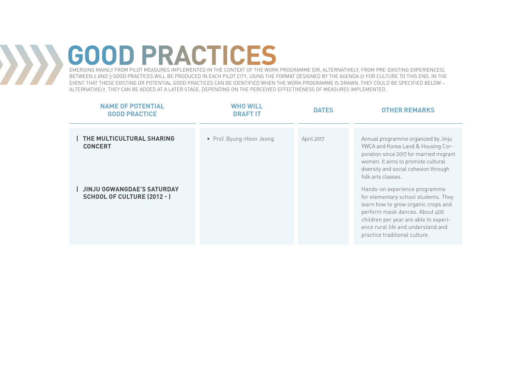## **GOOD PRACTICES**

 $\sum$ 

EMERGING MAINLY FROM PILOT MEASURES IMPLEMENTED IN THE CONTEXT OF THE WORK PROGRAMME (OR, ALTERNATIVELY, FROM PRE-EXISTING EXPERIENCES), BETWEEN 2 AND 3 GOOD PRACTICES WILL BE PRODUCED IN EACH PILOT CITY, USING THE FORMAT DESIGNED BY THE AGENDA 21 FOR CULTURE TO THIS END. IN THE EVENT THAT THESE EXISTING OR POTENTIAL GOOD PRACTICES CAN BE IDENTIFIED WHEN THE WORK PROGRAMME IS DRAWN, THEY COULD BE SPECIFIED BELOW – ALTERNATIVELY, THEY CAN BE ADDED AT A LATER STAGE, DEPENDING ON THE PERCEIVED EFFECTIVENESS OF MEASURES IMPLEMENTED.

| <b>NAME OF POTENTIAL</b><br><b>GOOD PRACTICE</b>                        | WHO WILL<br><b>DRAFT IT</b> | <b>DATES</b> | <b>OTHER REMARKS</b>                                                                                                                                                                                                                                           |
|-------------------------------------------------------------------------|-----------------------------|--------------|----------------------------------------------------------------------------------------------------------------------------------------------------------------------------------------------------------------------------------------------------------------|
|                                                                         |                             |              |                                                                                                                                                                                                                                                                |
| THE MULTICULTURAL SHARING<br><b>CONCERT</b>                             | • Prof. Byung-Hoon Jeong    | April 2017   | Annual programme organized by Jinju<br>YWCA and Korea Land & Housing Cor-<br>poration since 2017 for married migrant<br>women. It aims to promote cultural<br>diversity and social cohesion through<br>folk arts classes.                                      |
| <b>JINJU OGWANGDAE'S SATURDAY</b><br><b>SCHOOL OF CULTURE (2012 - )</b> |                             |              | Hands-on experience programme<br>for elementary school students. They<br>learn how to grow organic crops and<br>perform mask dances. About 400<br>children per year are able to experi-<br>ence rural life and understand and<br>practice traditional culture. |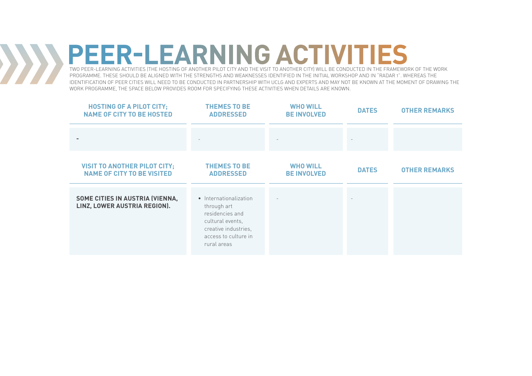### **PEER-LEARNING ACTIVITIES**

 $\langle \rangle$ 

TWO PEER-LEARNING ACTIVITIES (THE HOSTING OF ANOTHER PILOT CITY AND THE VISIT TO ANOTHER CITY) WILL BE CONDUCTED IN THE FRAMEWORK OF THE WORK PROGRAMME. THESE SHOULD BE ALIGNED WITH THE STRENGTHS AND WEAKNESSES IDENTIFIED IN THE INITIAL WORKSHOP AND IN "RADAR 1". WHEREAS THE IDENTIFICATION OF PEER CITIES WILL NEED TO BE CONDUCTED IN PARTNERSHIP WITH UCLG AND EXPERTS AND MAY NOT BE KNOWN AT THE MOMENT OF DRAWING THE WORK PROGRAMME, THE SPACE BELOW PROVIDES ROOM FOR SPECIFYING THESE ACTIVITIES WHEN DETAILS ARE KNOWN.

| <b>HOSTING OF A PILOT CITY;</b><br><b>NAME OF CITY TO BE HOSTED</b>      | <b>THEMES TO BE</b><br><b>ADDRESSED</b>                                                                                                     | <b>WHO WILL</b><br><b>BE INVOLVED</b> | <b>DATES</b> | <b>OTHER REMARKS</b> |
|--------------------------------------------------------------------------|---------------------------------------------------------------------------------------------------------------------------------------------|---------------------------------------|--------------|----------------------|
|                                                                          |                                                                                                                                             |                                       |              |                      |
| <b>VISIT TO ANOTHER PILOT CITY:</b><br><b>NAME OF CITY TO BE VISITED</b> | <b>THEMES TO BE</b><br><b>ADDRESSED</b>                                                                                                     | <b>WHO WILL</b><br><b>BE INVOLVED</b> | <b>DATES</b> | <b>OTHER REMARKS</b> |
| SOME CITIES IN AUSTRIA (VIENNA,<br>LINZ, LOWER AUSTRIA REGION).          | • Internationalization<br>through art<br>residencies and<br>cultural events,<br>creative industries,<br>access to culture in<br>rural areas |                                       |              |                      |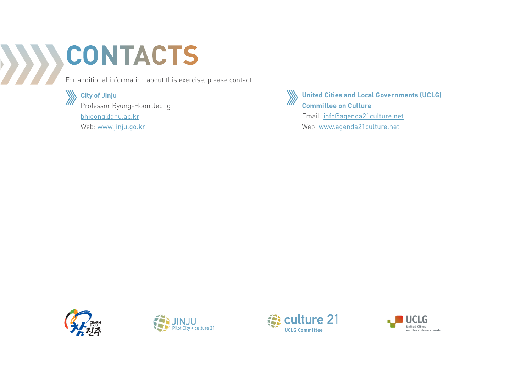#### **CONTACTS**  $\sum$

**City of Jinju**

For additional information about this exercise, please contact:



Professor Byung-Hoon Jeong bhjeong@gnu.ac.kr Web: www.jinju.go.kr



**United Cities and Local Governments (UCLG) Committee on Culture** Email: info@agenda21culture.net

Web: www.agenda21culture.net